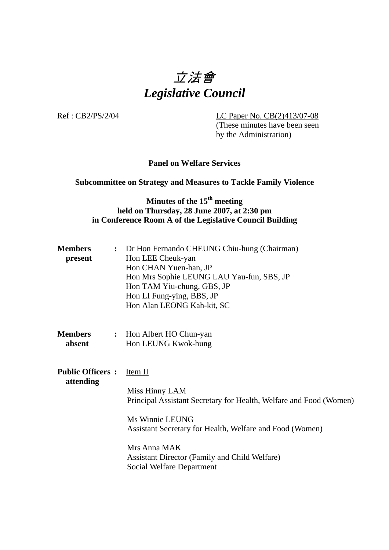# 立法會 *Legislative Council*

Ref : CB2/PS/2/04 LC Paper No. CB(2)413/07-08 (These minutes have been seen by the Administration)

### **Panel on Welfare Services**

#### **Subcommittee on Strategy and Measures to Tackle Family Violence**

# **Minutes of the 15<sup>th</sup> meeting held on Thursday, 28 June 2007, at 2:30 pm in Conference Room A of the Legislative Council Building**

| <b>Members</b> | : Dr Hon Fernando CHEUNG Chiu-hung (Chairman) |
|----------------|-----------------------------------------------|
| present        | Hon LEE Cheuk-yan                             |
|                | Hon CHAN Yuen-han, JP                         |
|                | Hon Mrs Sophie LEUNG LAU Yau-fun, SBS, JP     |
|                | Hon TAM Yiu-chung, GBS, JP                    |
|                | Hon LI Fung-ying, BBS, JP                     |
|                | Hon Alan LEONG Kah-kit, SC                    |
|                |                                               |

**Members** : Hon Albert HO Chun-yan **absent Hon LEUNG Kwok-hung** 

**Public Officers :** Item II **attending**

Miss Hinny LAM Principal Assistant Secretary for Health, Welfare and Food (Women)

Ms Winnie LEUNG Assistant Secretary for Health, Welfare and Food (Women)

Mrs Anna MAK Assistant Director (Family and Child Welfare) Social Welfare Department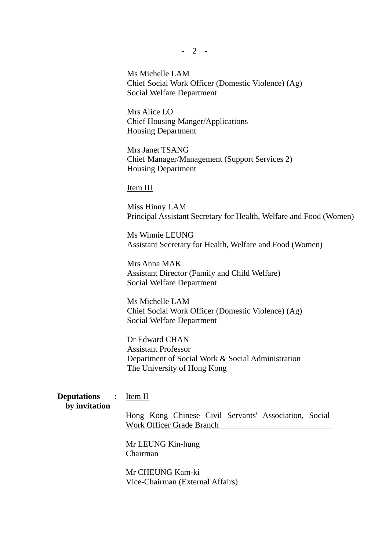Ms Michelle LAM Chief Social Work Officer (Domestic Violence) (Ag) Social Welfare Department

Mrs Alice LO Chief Housing Manger/Applications Housing Department

Mrs Janet TSANG Chief Manager/Management (Support Services 2) Housing Department

Item III

Miss Hinny LAM Principal Assistant Secretary for Health, Welfare and Food (Women)

Ms Winnie LEUNG Assistant Secretary for Health, Welfare and Food (Women)

Mrs Anna MAK Assistant Director (Family and Child Welfare) Social Welfare Department

Ms Michelle LAM Chief Social Work Officer (Domestic Violence) (Ag) Social Welfare Department

Dr Edward CHAN Assistant Professor Department of Social Work & Social Administration The University of Hong Kong

**Deputations :** Item II **by invitation**

Hong Kong Chinese Civil Servants' Association, Social Work Officer Grade Branch

Mr LEUNG Kin-hung Chairman

Mr CHEUNG Kam-ki Vice-Chairman (External Affairs)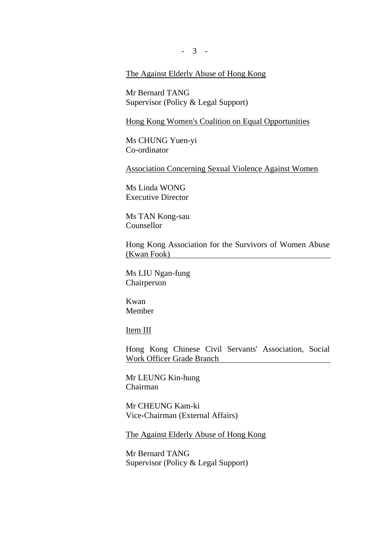- 3 -

#### The Against Elderly Abuse of Hong Kong

Mr Bernard TANG Supervisor (Policy & Legal Support)

#### Hong Kong Women's Coalition on Equal Opportunities

Ms CHUNG Yuen-yi Co-ordinator

Association Concerning Sexual Violence Against Women

Ms Linda WONG Executive Director

Ms TAN Kong-sau Counsellor

Hong Kong Association for the Survivors of Women Abuse (Kwan Fook)

Ms LIU Ngan-fung Chairperson

Kwan Member

Item III

Hong Kong Chinese Civil Servants' Association, Social Work Officer Grade Branch

Mr LEUNG Kin-hung Chairman

Mr CHEUNG Kam-ki Vice-Chairman (External Affairs)

The Against Elderly Abuse of Hong Kong

Mr Bernard TANG Supervisor (Policy & Legal Support)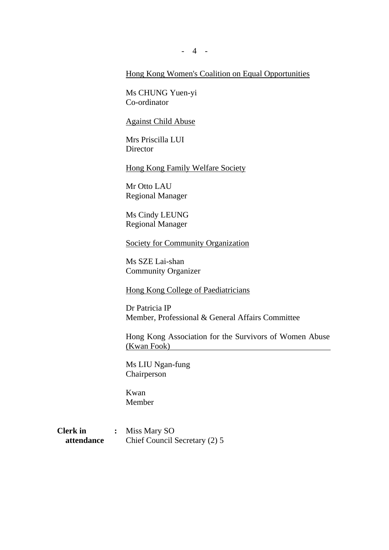- 4 -

#### Hong Kong Women's Coalition on Equal Opportunities

Ms CHUNG Yuen-yi Co-ordinator

Against Child Abuse

Mrs Priscilla LUI **Director** 

Hong Kong Family Welfare Society

Mr Otto LAU Regional Manager

Ms Cindy LEUNG Regional Manager

Society for Community Organization

Ms SZE Lai-shan Community Organizer

Hong Kong College of Paediatricians

Dr Patricia IP Member, Professional & General Affairs Committee

Hong Kong Association for the Survivors of Women Abuse (Kwan Fook)

Ms LIU Ngan-fung Chairperson

Kwan Member

**Clerk in :** Miss Mary SO **attendance** Chief Council Secretary (2) 5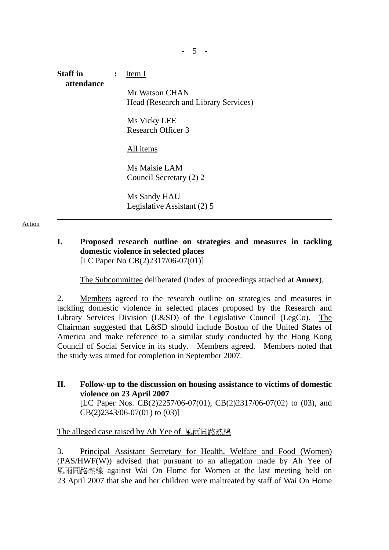# **Staff in :** Item I **attendance** Mr Watson CHAN Head (Research and Library Services) Ms Vicky LEE Research Officer 3 All items Ms Maisie LAM Council Secretary (2) 2 Ms Sandy HAU Legislative Assistant (2) 5

Action

### **I. Proposed research outline on strategies and measures in tackling domestic violence in selected places** [LC Paper No CB(2)2317/06-07(01)]

The Subcommittee deliberated (Index of proceedings attached at **Annex**).

2. Members agreed to the research outline on strategies and measures in tackling domestic violence in selected places proposed by the Research and Library Services Division (L&SD) of the Legislative Council (LegCo). The Chairman suggested that L&SD should include Boston of the United States of America and make reference to a similar study conducted by the Hong Kong Council of Social Service in its study. Members agreed. Members noted that the study was aimed for completion in September 2007.

**II. Follow-up to the discussion on housing assistance to victims of domestic violence on 23 April 2007**  [LC Paper Nos. CB(2)2257/06-07(01), CB(2)2317/06-07(02) to (03), and CB(2)2343/06-07(01) to (03)]

# The alleged case raised by Ah Yee of 風雨同路熱線

3. Principal Assistant Secretary for Health, Welfare and Food (Women) (PAS/HWF(W)) advised that pursuant to an allegation made by Ah Yee of 風雨同路熱線 against Wai On Home for Women at the last meeting held on 23 April 2007 that she and her children were maltreated by staff of Wai On Home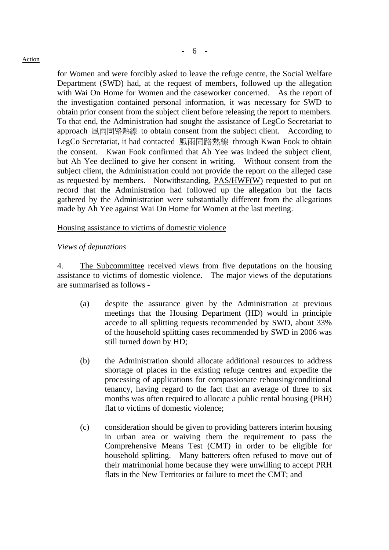#### **Action**

for Women and were forcibly asked to leave the refuge centre, the Social Welfare Department (SWD) had, at the request of members, followed up the allegation with Wai On Home for Women and the caseworker concerned. As the report of the investigation contained personal information, it was necessary for SWD to obtain prior consent from the subject client before releasing the report to members. To that end, the Administration had sought the assistance of LegCo Secretariat to approach 風雨同路熱線 to obtain consent from the subject client. According to LegCo Secretariat, it had contacted 風雨同路熱線 through Kwan Fook to obtain the consent. Kwan Fook confirmed that Ah Yee was indeed the subject client, but Ah Yee declined to give her consent in writing. Without consent from the subject client, the Administration could not provide the report on the alleged case as requested by members. Notwithstanding, PAS/HWF(W) requested to put on record that the Administration had followed up the allegation but the facts gathered by the Administration were substantially different from the allegations made by Ah Yee against Wai On Home for Women at the last meeting.

#### Housing assistance to victims of domestic violence

#### *Views of deputations*

4. The Subcommittee received views from five deputations on the housing assistance to victims of domestic violence. The major views of the deputations are summarised as follows -

- (a) despite the assurance given by the Administration at previous meetings that the Housing Department (HD) would in principle accede to all splitting requests recommended by SWD, about 33% of the household splitting cases recommended by SWD in 2006 was still turned down by HD;
- (b) the Administration should allocate additional resources to address shortage of places in the existing refuge centres and expedite the processing of applications for compassionate rehousing/conditional tenancy, having regard to the fact that an average of three to six months was often required to allocate a public rental housing (PRH) flat to victims of domestic violence;
- (c) consideration should be given to providing batterers interim housing in urban area or waiving them the requirement to pass the Comprehensive Means Test (CMT) in order to be eligible for household splitting. Many batterers often refused to move out of their matrimonial home because they were unwilling to accept PRH flats in the New Territories or failure to meet the CMT; and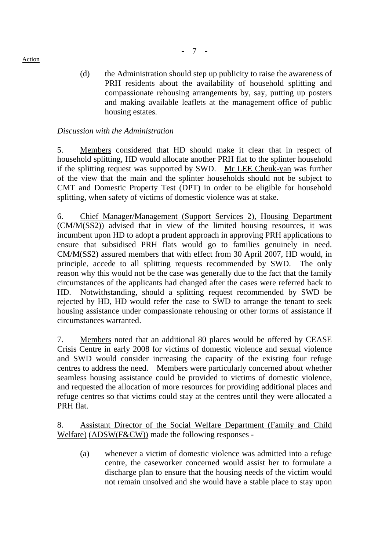(d) the Administration should step up publicity to raise the awareness of PRH residents about the availability of household splitting and compassionate rehousing arrangements by, say, putting up posters

and making available leaflets at the management office of public

- 7 -

### *Discussion with the Administration*

housing estates.

5. Members considered that HD should make it clear that in respect of household splitting, HD would allocate another PRH flat to the splinter household if the splitting request was supported by SWD. Mr LEE Cheuk-yan was further of the view that the main and the splinter households should not be subject to CMT and Domestic Property Test (DPT) in order to be eligible for household splitting, when safety of victims of domestic violence was at stake.

6. Chief Manager/Management (Support Services 2), Housing Department (CM/M(SS2)) advised that in view of the limited housing resources, it was incumbent upon HD to adopt a prudent approach in approving PRH applications to ensure that subsidised PRH flats would go to families genuinely in need. CM/M(SS2) assured members that with effect from 30 April 2007, HD would, in principle, accede to all splitting requests recommended by SWD. The only reason why this would not be the case was generally due to the fact that the family circumstances of the applicants had changed after the cases were referred back to HD. Notwithstanding, should a splitting request recommended by SWD be rejected by HD, HD would refer the case to SWD to arrange the tenant to seek housing assistance under compassionate rehousing or other forms of assistance if circumstances warranted.

7. Members noted that an additional 80 places would be offered by CEASE Crisis Centre in early 2008 for victims of domestic violence and sexual violence and SWD would consider increasing the capacity of the existing four refuge centres to address the need. Members were particularly concerned about whether seamless housing assistance could be provided to victims of domestic violence, and requested the allocation of more resources for providing additional places and refuge centres so that victims could stay at the centres until they were allocated a PRH flat.

8. Assistant Director of the Social Welfare Department (Family and Child Welfare) (ADSW(F&CW)) made the following responses -

 (a) whenever a victim of domestic violence was admitted into a refuge centre, the caseworker concerned would assist her to formulate a discharge plan to ensure that the housing needs of the victim would not remain unsolved and she would have a stable place to stay upon

**Action**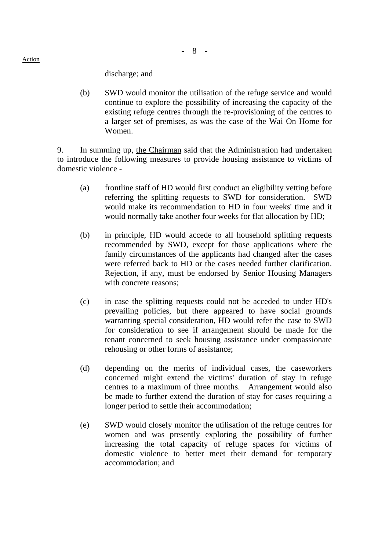- 8 -

discharge; and

 (b) SWD would monitor the utilisation of the refuge service and would continue to explore the possibility of increasing the capacity of the existing refuge centres through the re-provisioning of the centres to a larger set of premises, as was the case of the Wai On Home for Women.

9. In summing up, the Chairman said that the Administration had undertaken to introduce the following measures to provide housing assistance to victims of domestic violence -

- (a) frontline staff of HD would first conduct an eligibility vetting before referring the splitting requests to SWD for consideration. SWD would make its recommendation to HD in four weeks' time and it would normally take another four weeks for flat allocation by HD;
- (b) in principle, HD would accede to all household splitting requests recommended by SWD, except for those applications where the family circumstances of the applicants had changed after the cases were referred back to HD or the cases needed further clarification. Rejection, if any, must be endorsed by Senior Housing Managers with concrete reasons;
- (c) in case the splitting requests could not be acceded to under HD's prevailing policies, but there appeared to have social grounds warranting special consideration, HD would refer the case to SWD for consideration to see if arrangement should be made for the tenant concerned to seek housing assistance under compassionate rehousing or other forms of assistance;
- (d) depending on the merits of individual cases, the caseworkers concerned might extend the victims' duration of stay in refuge centres to a maximum of three months. Arrangement would also be made to further extend the duration of stay for cases requiring a longer period to settle their accommodation;
- (e) SWD would closely monitor the utilisation of the refuge centres for women and was presently exploring the possibility of further increasing the total capacity of refuge spaces for victims of domestic violence to better meet their demand for temporary accommodation; and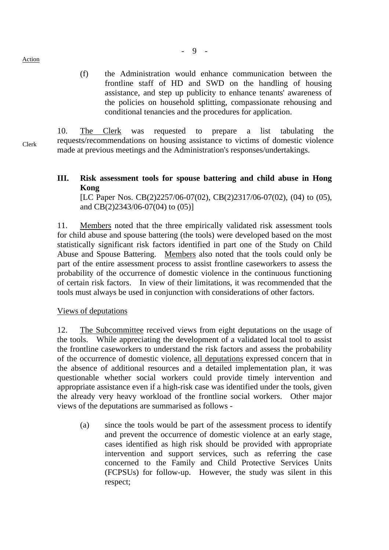Action

 (f) the Administration would enhance communication between the frontline staff of HD and SWD on the handling of housing assistance, and step up publicity to enhance tenants' awareness of the policies on household splitting, compassionate rehousing and

Clerk 10. The Clerk was requested to prepare a list tabulating the requests/recommendations on housing assistance to victims of domestic violence made at previous meetings and the Administration's responses/undertakings.

# **III. Risk assessment tools for spouse battering and child abuse in Hong Kong**

[LC Paper Nos. CB(2)2257/06-07(02), CB(2)2317/06-07(02), (04) to (05), and CB(2)2343/06-07(04) to (05)]

11. Members noted that the three empirically validated risk assessment tools for child abuse and spouse battering (the tools) were developed based on the most statistically significant risk factors identified in part one of the Study on Child Abuse and Spouse Battering. Members also noted that the tools could only be part of the entire assessment process to assist frontline caseworkers to assess the probability of the occurrence of domestic violence in the continuous functioning of certain risk factors. In view of their limitations, it was recommended that the tools must always be used in conjunction with considerations of other factors.

# Views of deputations

12. The Subcommittee received views from eight deputations on the usage of the tools. While appreciating the development of a validated local tool to assist the frontline caseworkers to understand the risk factors and assess the probability of the occurrence of domestic violence, all deputations expressed concern that in the absence of additional resources and a detailed implementation plan, it was questionable whether social workers could provide timely intervention and appropriate assistance even if a high-risk case was identified under the tools, given the already very heavy workload of the frontline social workers. Other major views of the deputations are summarised as follows -

 (a) since the tools would be part of the assessment process to identify and prevent the occurrence of domestic violence at an early stage, cases identified as high risk should be provided with appropriate intervention and support services, such as referring the case concerned to the Family and Child Protective Services Units (FCPSUs) for follow-up. However, the study was silent in this respect;

conditional tenancies and the procedures for application.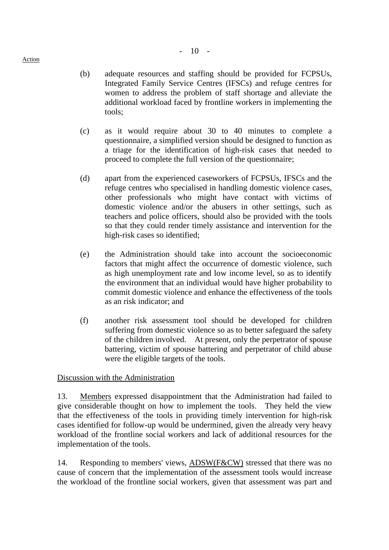(b) adequate resources and staffing should be provided for FCPSUs, Integrated Family Service Centres (IFSCs) and refuge centres for women to address the problem of staff shortage and alleviate the additional workload faced by frontline workers in implementing the tools;

- 10 -

- (c) as it would require about 30 to 40 minutes to complete a questionnaire, a simplified version should be designed to function as a triage for the identification of high-risk cases that needed to proceed to complete the full version of the questionnaire;
- (d) apart from the experienced caseworkers of FCPSUs, IFSCs and the refuge centres who specialised in handling domestic violence cases, other professionals who might have contact with victims of domestic violence and/or the abusers in other settings, such as teachers and police officers, should also be provided with the tools so that they could render timely assistance and intervention for the high-risk cases so identified;
- (e) the Administration should take into account the socioeconomic factors that might affect the occurrence of domestic violence, such as high unemployment rate and low income level, so as to identify the environment that an individual would have higher probability to commit domestic violence and enhance the effectiveness of the tools as an risk indicator; and
- (f) another risk assessment tool should be developed for children suffering from domestic violence so as to better safeguard the safety of the children involved. At present, only the perpetrator of spouse battering, victim of spouse battering and perpetrator of child abuse were the eligible targets of the tools.

# Discussion with the Administration

13. Members expressed disappointment that the Administration had failed to give considerable thought on how to implement the tools. They held the view that the effectiveness of the tools in providing timely intervention for high-risk cases identified for follow-up would be undermined, given the already very heavy workload of the frontline social workers and lack of additional resources for the implementation of the tools.

14. Responding to members' views, ADSW(F&CW) stressed that there was no cause of concern that the implementation of the assessment tools would increase the workload of the frontline social workers, given that assessment was part and

Action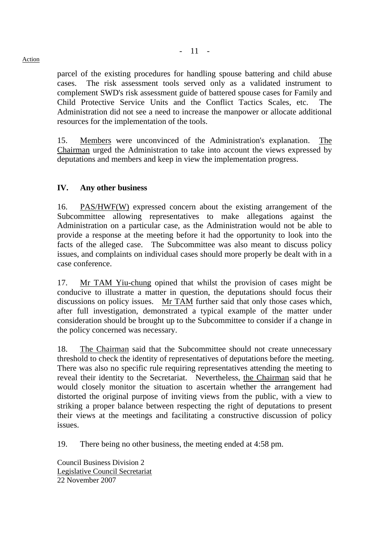parcel of the existing procedures for handling spouse battering and child abuse cases. The risk assessment tools served only as a validated instrument to

- 11 -

complement SWD's risk assessment guide of battered spouse cases for Family and Child Protective Service Units and the Conflict Tactics Scales, etc. The Administration did not see a need to increase the manpower or allocate additional resources for the implementation of the tools.

15. Members were unconvinced of the Administration's explanation. The Chairman urged the Administration to take into account the views expressed by deputations and members and keep in view the implementation progress.

# **IV. Any other business**

16. PAS/HWF(W) expressed concern about the existing arrangement of the Subcommittee allowing representatives to make allegations against the Administration on a particular case, as the Administration would not be able to provide a response at the meeting before it had the opportunity to look into the facts of the alleged case. The Subcommittee was also meant to discuss policy issues, and complaints on individual cases should more properly be dealt with in a case conference.

17. Mr TAM Yiu-chung opined that whilst the provision of cases might be conducive to illustrate a matter in question, the deputations should focus their discussions on policy issues. Mr TAM further said that only those cases which, after full investigation, demonstrated a typical example of the matter under consideration should be brought up to the Subcommittee to consider if a change in the policy concerned was necessary.

18. The Chairman said that the Subcommittee should not create unnecessary threshold to check the identity of representatives of deputations before the meeting. There was also no specific rule requiring representatives attending the meeting to reveal their identity to the Secretariat. Nevertheless, the Chairman said that he would closely monitor the situation to ascertain whether the arrangement had distorted the original purpose of inviting views from the public, with a view to striking a proper balance between respecting the right of deputations to present their views at the meetings and facilitating a constructive discussion of policy issues.

19. There being no other business, the meeting ended at 4:58 pm.

Council Business Division 2 Legislative Council Secretariat 22 November 2007

**Action**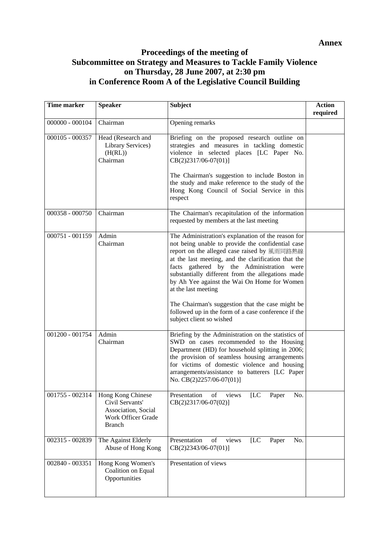# **Proceedings of the meeting of Subcommittee on Strategy and Measures to Tackle Family Violence on Thursday, 28 June 2007, at 2:30 pm in Conference Room A of the Legislative Council Building**

| <b>Time marker</b> | <b>Speaker</b>                                                                                     | <b>Subject</b>                                                                                                                                                                                                                                                                                                                                                                                                                                                                                                               | <b>Action</b><br>required |
|--------------------|----------------------------------------------------------------------------------------------------|------------------------------------------------------------------------------------------------------------------------------------------------------------------------------------------------------------------------------------------------------------------------------------------------------------------------------------------------------------------------------------------------------------------------------------------------------------------------------------------------------------------------------|---------------------------|
| $000000 - 000104$  | Chairman                                                                                           | Opening remarks                                                                                                                                                                                                                                                                                                                                                                                                                                                                                                              |                           |
| 000105 - 000357    | Head (Research and<br>Library Services)<br>(H(RL))<br>Chairman                                     | Briefing on the proposed research outline on<br>strategies and measures in tackling domestic<br>violence in selected places [LC Paper No.<br>$CB(2)2317/06-07(01)]$<br>The Chairman's suggestion to include Boston in<br>the study and make reference to the study of the<br>Hong Kong Council of Social Service in this<br>respect                                                                                                                                                                                          |                           |
| 000358 - 000750    | Chairman                                                                                           | The Chairman's recapitulation of the information<br>requested by members at the last meeting                                                                                                                                                                                                                                                                                                                                                                                                                                 |                           |
| 000751 - 001159    | Admin<br>Chairman                                                                                  | The Administration's explanation of the reason for<br>not being unable to provide the confidential case<br>report on the alleged case raised by 風雨同路熱線<br>at the last meeting, and the clarification that the<br>facts gathered by the Administration were<br>substantially different from the allegations made<br>by Ah Yee against the Wai On Home for Women<br>at the last meeting<br>The Chairman's suggestion that the case might be<br>followed up in the form of a case conference if the<br>subject client so wished |                           |
| 001200 - 001754    | Admin<br>Chairman                                                                                  | Briefing by the Administration on the statistics of<br>SWD on cases recommended to the Housing<br>Department (HD) for household splitting in 2006;<br>the provision of seamless housing arrangements<br>for victims of domestic violence and housing<br>arrangements/assistance to batterers [LC Paper<br>No. CB(2)2257/06-07(01)]                                                                                                                                                                                           |                           |
| 001755 - 002314    | Hong Kong Chinese<br>Civil Servants'<br>Association, Social<br>Work Officer Grade<br><b>Branch</b> | Presentation<br>of<br>views<br>[LC<br>Paper<br>No.<br>$CB(2)2317/06-07(02)]$                                                                                                                                                                                                                                                                                                                                                                                                                                                 |                           |
| 002315 - 002839    | The Against Elderly<br>Abuse of Hong Kong                                                          | Presentation<br>of<br>[LC]<br>Paper<br>No.<br>views<br>CB(2)2343/06-07(01)]                                                                                                                                                                                                                                                                                                                                                                                                                                                  |                           |
| 002840 - 003351    | Hong Kong Women's<br>Coalition on Equal<br>Opportunities                                           | Presentation of views                                                                                                                                                                                                                                                                                                                                                                                                                                                                                                        |                           |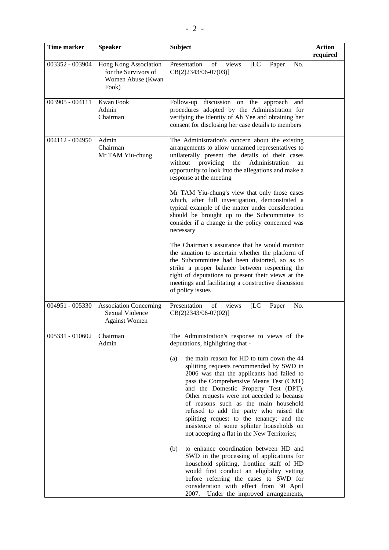| Time marker     | <b>Speaker</b>                                                              | <b>Subject</b>                                                                                                                                                                                                                                                                                                                                                                                                                                                                                                                                                                                                                                                                                                                                                                                                                                                                                                           | <b>Action</b><br>required |
|-----------------|-----------------------------------------------------------------------------|--------------------------------------------------------------------------------------------------------------------------------------------------------------------------------------------------------------------------------------------------------------------------------------------------------------------------------------------------------------------------------------------------------------------------------------------------------------------------------------------------------------------------------------------------------------------------------------------------------------------------------------------------------------------------------------------------------------------------------------------------------------------------------------------------------------------------------------------------------------------------------------------------------------------------|---------------------------|
| 003352 - 003904 | Hong Kong Association<br>for the Survivors of<br>Women Abuse (Kwan<br>Fook) | Presentation<br>of<br>[LC]<br>views<br>Paper<br>No.<br>CB(2)2343/06-07(03)]                                                                                                                                                                                                                                                                                                                                                                                                                                                                                                                                                                                                                                                                                                                                                                                                                                              |                           |
| 003905 - 004111 | Kwan Fook<br>Admin<br>Chairman                                              | Follow-up<br>discussion on the approach<br>and<br>procedures adopted by the Administration for<br>verifying the identity of Ah Yee and obtaining her<br>consent for disclosing her case details to members                                                                                                                                                                                                                                                                                                                                                                                                                                                                                                                                                                                                                                                                                                               |                           |
| 004112 - 004950 | Admin<br>Chairman<br>Mr TAM Yiu-chung                                       | The Administration's concern about the existing<br>arrangements to allow unnamed representatives to<br>unilaterally present the details of their cases<br>providing<br>the<br>without<br>Administration<br>an<br>opportunity to look into the allegations and make a<br>response at the meeting<br>Mr TAM Yiu-chung's view that only those cases<br>which, after full investigation, demonstrated a<br>typical example of the matter under consideration<br>should be brought up to the Subcommittee to<br>consider if a change in the policy concerned was<br>necessary<br>The Chairman's assurance that he would monitor<br>the situation to ascertain whether the platform of<br>the Subcommittee had been distorted, so as to<br>strike a proper balance between respecting the<br>right of deputations to present their views at the<br>meetings and facilitating a constructive discussion<br>of policy issues     |                           |
| 004951 - 005330 | <b>Association Concerning</b><br>Sexual Violence<br><b>Against Women</b>    | Presentation<br>views<br>of<br>[LC]<br>Paper<br>No.<br>CB(2)2343/06-07(02)]                                                                                                                                                                                                                                                                                                                                                                                                                                                                                                                                                                                                                                                                                                                                                                                                                                              |                           |
| 005331 - 010602 | Chairman<br>Admin                                                           | The Administration's response to views of the<br>deputations, highlighting that -<br>the main reason for HD to turn down the 44<br>(a)<br>splitting requests recommended by SWD in<br>2006 was that the applicants had failed to<br>pass the Comprehensive Means Test (CMT)<br>and the Domestic Property Test (DPT).<br>Other requests were not acceded to because<br>of reasons such as the main household<br>refused to add the party who raised the<br>splitting request to the tenancy; and the<br>insistence of some splinter households on<br>not accepting a flat in the New Territories;<br>to enhance coordination between HD and<br>(b)<br>SWD in the processing of applications for<br>household splitting, frontline staff of HD<br>would first conduct an eligibility vetting<br>before referring the cases to SWD for<br>consideration with effect from 30 April<br>2007. Under the improved arrangements, |                           |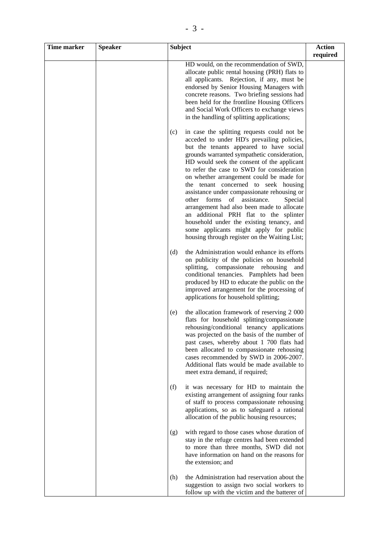| <b>Time marker</b> | <b>Speaker</b> | <b>Subject</b>                                                                                                                                                                                                                                                                                                                                                                                                                                                                                                                                                                                                                                                                                      | <b>Action</b><br>required |
|--------------------|----------------|-----------------------------------------------------------------------------------------------------------------------------------------------------------------------------------------------------------------------------------------------------------------------------------------------------------------------------------------------------------------------------------------------------------------------------------------------------------------------------------------------------------------------------------------------------------------------------------------------------------------------------------------------------------------------------------------------------|---------------------------|
|                    |                | HD would, on the recommendation of SWD,<br>allocate public rental housing (PRH) flats to<br>all applicants. Rejection, if any, must be<br>endorsed by Senior Housing Managers with<br>concrete reasons. Two briefing sessions had<br>been held for the frontline Housing Officers<br>and Social Work Officers to exchange views<br>in the handling of splitting applications;                                                                                                                                                                                                                                                                                                                       |                           |
|                    |                | in case the splitting requests could not be<br>(c)<br>acceded to under HD's prevailing policies,<br>but the tenants appeared to have social<br>grounds warranted sympathetic consideration,<br>HD would seek the consent of the applicant<br>to refer the case to SWD for consideration<br>on whether arrangement could be made for<br>the tenant concerned to seek housing<br>assistance under compassionate rehousing or<br>other forms of assistance.<br>Special<br>arrangement had also been made to allocate<br>an additional PRH flat to the splinter<br>household under the existing tenancy, and<br>some applicants might apply for public<br>housing through register on the Waiting List; |                           |
|                    |                | the Administration would enhance its efforts<br>(d)<br>on publicity of the policies on household<br>splitting,<br>compassionate rehousing<br>and<br>conditional tenancies. Pamphlets had been<br>produced by HD to educate the public on the<br>improved arrangement for the processing of<br>applications for household splitting;                                                                                                                                                                                                                                                                                                                                                                 |                           |
|                    |                | the allocation framework of reserving 2 000<br>(e)<br>flats for household splitting/compassionate<br>rehousing/conditional tenancy applications<br>was projected on the basis of the number of<br>past cases, whereby about 1 700 flats had<br>been allocated to compassionate rehousing<br>cases recommended by SWD in 2006-2007.<br>Additional flats would be made available to<br>meet extra demand, if required;                                                                                                                                                                                                                                                                                |                           |
|                    |                | it was necessary for HD to maintain the<br>(f)<br>existing arrangement of assigning four ranks<br>of staff to process compassionate rehousing<br>applications, so as to safeguard a rational<br>allocation of the public housing resources;                                                                                                                                                                                                                                                                                                                                                                                                                                                         |                           |
|                    |                | with regard to those cases whose duration of<br>(g)<br>stay in the refuge centres had been extended<br>to more than three months, SWD did not<br>have information on hand on the reasons for<br>the extension; and                                                                                                                                                                                                                                                                                                                                                                                                                                                                                  |                           |
|                    |                | (h)<br>the Administration had reservation about the<br>suggestion to assign two social workers to<br>follow up with the victim and the batterer of                                                                                                                                                                                                                                                                                                                                                                                                                                                                                                                                                  |                           |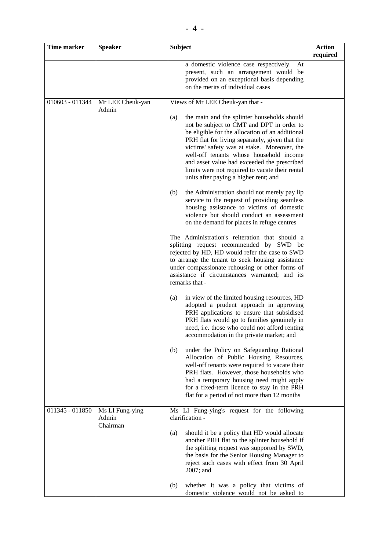| <b>Subject</b>        |
|-----------------------|
| a domestic violence o |

| Time marker     | <b>Speaker</b>            | <b>Subject</b>                                                                                                                                                                                                                                                                                                                                                                                                                            | <b>Action</b><br>required |
|-----------------|---------------------------|-------------------------------------------------------------------------------------------------------------------------------------------------------------------------------------------------------------------------------------------------------------------------------------------------------------------------------------------------------------------------------------------------------------------------------------------|---------------------------|
|                 |                           | a domestic violence case respectively.<br>At<br>present, such an arrangement would be<br>provided on an exceptional basis depending<br>on the merits of individual cases                                                                                                                                                                                                                                                                  |                           |
| 010603 - 011344 | Mr LEE Cheuk-yan<br>Admin | Views of Mr LEE Cheuk-yan that -                                                                                                                                                                                                                                                                                                                                                                                                          |                           |
|                 |                           | the main and the splinter households should<br>(a)<br>not be subject to CMT and DPT in order to<br>be eligible for the allocation of an additional<br>PRH flat for living separately, given that the<br>victims' safety was at stake. Moreover, the<br>well-off tenants whose household income<br>and asset value had exceeded the prescribed<br>limits were not required to vacate their rental<br>units after paying a higher rent; and |                           |
|                 |                           | the Administration should not merely pay lip<br>(b)<br>service to the request of providing seamless<br>housing assistance to victims of domestic<br>violence but should conduct an assessment<br>on the demand for places in refuge centres                                                                                                                                                                                               |                           |
|                 |                           | The Administration's reiteration that should a<br>splitting request recommended by SWD be<br>rejected by HD, HD would refer the case to SWD<br>to arrange the tenant to seek housing assistance<br>under compassionate rehousing or other forms of<br>assistance if circumstances warranted; and its<br>remarks that -                                                                                                                    |                           |
|                 |                           | in view of the limited housing resources, HD<br>(a)<br>adopted a prudent approach in approving<br>PRH applications to ensure that subsidised<br>PRH flats would go to families genuinely in<br>need, i.e. those who could not afford renting<br>accommodation in the private market; and                                                                                                                                                  |                           |
|                 |                           | under the Policy on Safeguarding Rational<br>(b)<br>Allocation of Public Housing Resources,<br>well-off tenants were required to vacate their<br>PRH flats. However, those households who<br>had a temporary housing need might apply<br>for a fixed-term licence to stay in the PRH<br>flat for a period of not more than 12 months                                                                                                      |                           |
| 011345 - 011850 | Ms LI Fung-ying<br>Admin  | Ms LI Fung-ying's request for the following<br>clarification -                                                                                                                                                                                                                                                                                                                                                                            |                           |
|                 | Chairman                  | should it be a policy that HD would allocate<br>(a)<br>another PRH flat to the splinter household if<br>the splitting request was supported by SWD,<br>the basis for the Senior Housing Manager to<br>reject such cases with effect from 30 April<br>2007; and                                                                                                                                                                            |                           |
|                 |                           | whether it was a policy that victims of<br>(b)<br>domestic violence would not be asked to                                                                                                                                                                                                                                                                                                                                                 |                           |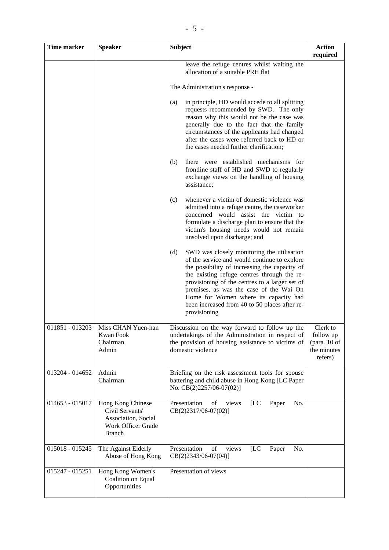| <b>Time marker</b> | <b>Speaker</b>                                                                                     | <b>Subject</b>                                                                                                                                                                                                                                                                                                                                                                                           | <b>Action</b><br>required                                       |
|--------------------|----------------------------------------------------------------------------------------------------|----------------------------------------------------------------------------------------------------------------------------------------------------------------------------------------------------------------------------------------------------------------------------------------------------------------------------------------------------------------------------------------------------------|-----------------------------------------------------------------|
|                    |                                                                                                    | leave the refuge centres whilst waiting the<br>allocation of a suitable PRH flat                                                                                                                                                                                                                                                                                                                         |                                                                 |
|                    |                                                                                                    | The Administration's response -                                                                                                                                                                                                                                                                                                                                                                          |                                                                 |
|                    |                                                                                                    | in principle, HD would accede to all splitting<br>(a)<br>requests recommended by SWD. The only<br>reason why this would not be the case was<br>generally due to the fact that the family<br>circumstances of the applicants had changed<br>after the cases were referred back to HD or<br>the cases needed further clarification;                                                                        |                                                                 |
|                    |                                                                                                    | there were established mechanisms for<br>(b)<br>frontline staff of HD and SWD to regularly<br>exchange views on the handling of housing<br>assistance;                                                                                                                                                                                                                                                   |                                                                 |
|                    |                                                                                                    | whenever a victim of domestic violence was<br>(c)<br>admitted into a refuge centre, the caseworker<br>concerned would assist the victim to<br>formulate a discharge plan to ensure that the<br>victim's housing needs would not remain<br>unsolved upon discharge; and                                                                                                                                   |                                                                 |
|                    |                                                                                                    | SWD was closely monitoring the utilisation<br>(d)<br>of the service and would continue to explore<br>the possibility of increasing the capacity of<br>the existing refuge centres through the re-<br>provisioning of the centres to a larger set of<br>premises, as was the case of the Wai On<br>Home for Women where its capacity had<br>been increased from 40 to 50 places after re-<br>provisioning |                                                                 |
| 011851 - 013203    | Miss CHAN Yuen-han<br>Kwan Fook<br>Chairman<br>Admin                                               | Discussion on the way forward to follow up the<br>undertakings of the Administration in respect of<br>the provision of housing assistance to victims of<br>domestic violence                                                                                                                                                                                                                             | Clerk to<br>follow up<br>(para. 10 of<br>the minutes<br>refers) |
| 013204 - 014652    | Admin<br>Chairman                                                                                  | Briefing on the risk assessment tools for spouse<br>battering and child abuse in Hong Kong [LC Paper<br>No. CB(2)2257/06-07(02)]                                                                                                                                                                                                                                                                         |                                                                 |
| 014653 - 015017    | Hong Kong Chinese<br>Civil Servants'<br>Association, Social<br>Work Officer Grade<br><b>Branch</b> | [LC<br>No.<br>Presentation<br>of<br>Paper<br>views<br>$CB(2)2317/06-07(02)]$                                                                                                                                                                                                                                                                                                                             |                                                                 |
| 015018 - 015245    | The Against Elderly<br>Abuse of Hong Kong                                                          | Presentation<br>of<br>views<br>[LC]<br>Paper<br>No.<br>CB(2)2343/06-07(04)]                                                                                                                                                                                                                                                                                                                              |                                                                 |
| 015247 - 015251    | Hong Kong Women's<br>Coalition on Equal<br>Opportunities                                           | Presentation of views                                                                                                                                                                                                                                                                                                                                                                                    |                                                                 |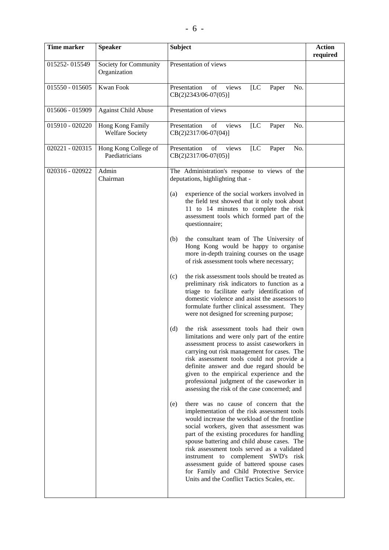| <b>Time marker</b> | <b>Speaker</b>                             | <b>Subject</b>                                                                                                                                                                                                                                                                                                                                                                                                                                                                                                        | <b>Action</b><br>required |
|--------------------|--------------------------------------------|-----------------------------------------------------------------------------------------------------------------------------------------------------------------------------------------------------------------------------------------------------------------------------------------------------------------------------------------------------------------------------------------------------------------------------------------------------------------------------------------------------------------------|---------------------------|
| 015252-015549      | Society for Community<br>Organization      | Presentation of views                                                                                                                                                                                                                                                                                                                                                                                                                                                                                                 |                           |
| 015550 - 015605    | Kwan Fook                                  | Presentation<br>of<br>[LC]<br>views<br>Paper<br>No.<br>CB(2)2343/06-07(05)]                                                                                                                                                                                                                                                                                                                                                                                                                                           |                           |
| 015606 - 015909    | <b>Against Child Abuse</b>                 | Presentation of views                                                                                                                                                                                                                                                                                                                                                                                                                                                                                                 |                           |
| 015910 - 020220    | Hong Kong Family<br><b>Welfare Society</b> | Presentation<br>[LC]<br>of<br>views<br>Paper<br>No.<br>CB(2)2317/06-07(04)]                                                                                                                                                                                                                                                                                                                                                                                                                                           |                           |
| 020221 - 020315    | Hong Kong College of<br>Paediatricians     | Presentation<br>of<br>[LC]<br>No.<br>views<br>Paper<br>$CB(2)2317/06-07(05)]$                                                                                                                                                                                                                                                                                                                                                                                                                                         |                           |
| 020316 - 020922    | Admin<br>Chairman                          | The Administration's response to views of the<br>deputations, highlighting that -                                                                                                                                                                                                                                                                                                                                                                                                                                     |                           |
|                    |                                            | experience of the social workers involved in<br>(a)<br>the field test showed that it only took about<br>11 to 14 minutes to complete the risk<br>assessment tools which formed part of the<br>questionnaire;                                                                                                                                                                                                                                                                                                          |                           |
|                    |                                            | the consultant team of The University of<br>(b)<br>Hong Kong would be happy to organise<br>more in-depth training courses on the usage<br>of risk assessment tools where necessary;                                                                                                                                                                                                                                                                                                                                   |                           |
|                    |                                            | the risk assessment tools should be treated as<br>(c)<br>preliminary risk indicators to function as a<br>triage to facilitate early identification of<br>domestic violence and assist the assessors to<br>formulate further clinical assessment. They<br>were not designed for screening purpose;                                                                                                                                                                                                                     |                           |
|                    |                                            | (d)<br>the risk assessment tools had their own<br>limitations and were only part of the entire<br>assessment process to assist caseworkers in<br>carrying out risk management for cases. The<br>risk assessment tools could not provide a<br>definite answer and due regard should be<br>given to the empirical experience and the<br>professional judgment of the caseworker in<br>assessing the risk of the case concerned; and                                                                                     |                           |
|                    |                                            | there was no cause of concern that the<br>(e)<br>implementation of the risk assessment tools<br>would increase the workload of the frontline<br>social workers, given that assessment was<br>part of the existing procedures for handling<br>spouse battering and child abuse cases. The<br>risk assessment tools served as a validated<br>instrument to complement SWD's risk<br>assessment guide of battered spouse cases<br>for Family and Child Protective Service<br>Units and the Conflict Tactics Scales, etc. |                           |